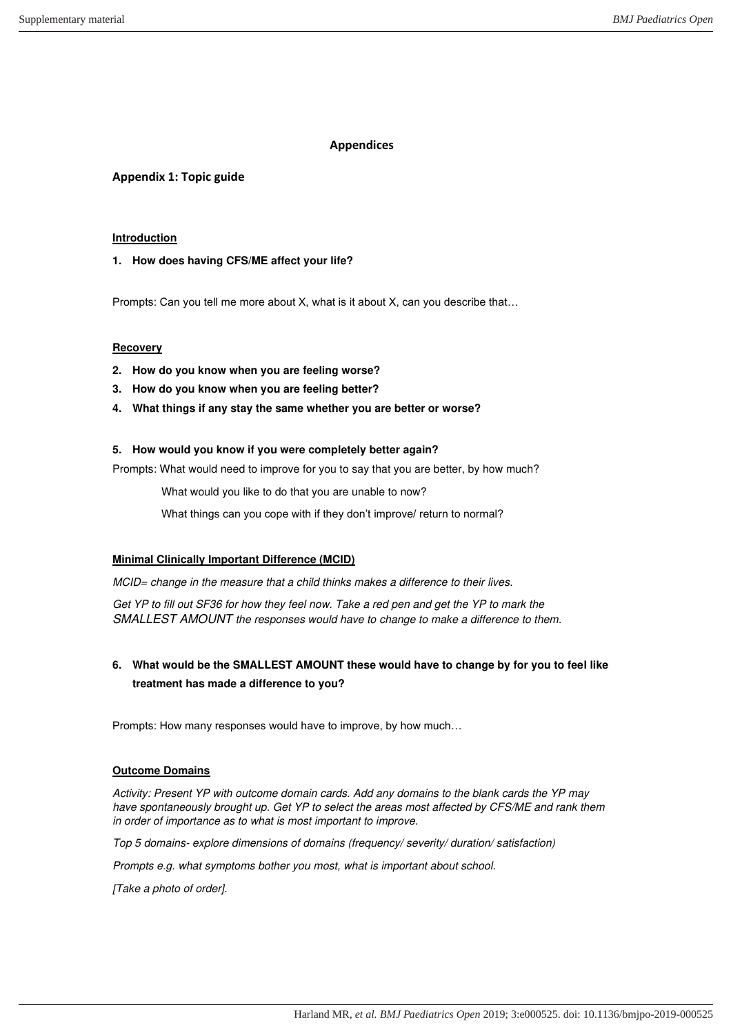## **Appendices**

# **Appendix 1: Topic guide**

### **Introduction**

### **1. How does having CFS/ME affect your life?**

Prompts: Can you tell me more about X, what is it about X, can you describe that…

### **Recovery**

- **2. How do you know when you are feeling worse?**
- **3. How do you know when you are feeling better?**
- **4. What things if any stay the same whether you are better or worse?**

### **5. How would you know if you were completely better again?**

Prompts: What would need to improve for you to say that you are better, by how much?

What would you like to do that you are unable to now?

What things can you cope with if they don't improve/ return to normal?

### **Minimal Clinically Important Difference (MCID)**

*MCID= change in the measure that a child thinks makes a difference to their lives.* 

*Get YP to fill out SF36 for how they feel now. Take a red pen and get the YP to mark the SMALLEST AMOUNT the responses would have to change to make a difference to them.* 

# **6. What would be the SMALLEST AMOUNT these would have to change by for you to feel like treatment has made a difference to you?**

Prompts: How many responses would have to improve, by how much…

# **Outcome Domains**

*Activity: Present YP with outcome domain cards. Add any domains to the blank cards the YP may have spontaneously brought up. Get YP to select the areas most affected by CFS/ME and rank them in order of importance as to what is most important to improve.* 

*Top 5 domains- explore dimensions of domains (frequency/ severity/ duration/ satisfaction)* 

*Prompts e.g. what symptoms bother you most, what is important about school.* 

*[Take a photo of order].*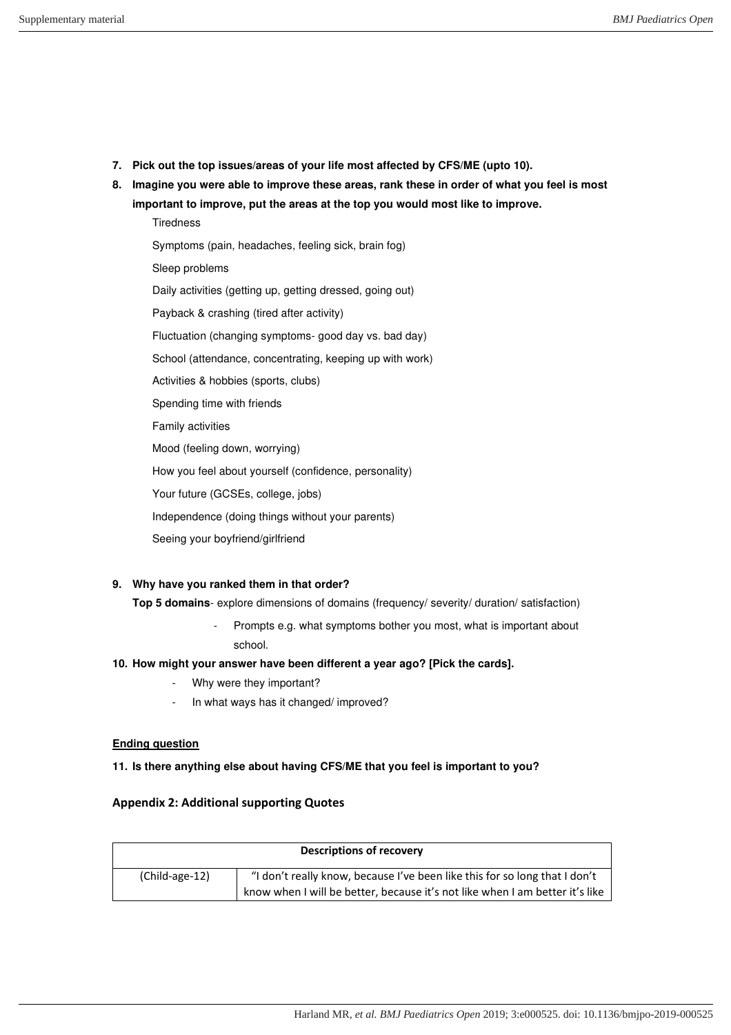- **7. Pick out the top issues/areas of your life most affected by CFS/ME (upto 10).**
- **8. Imagine you were able to improve these areas, rank these in order of what you feel is most important to improve, put the areas at the top you would most like to improve.**

**Tiredness** Symptoms (pain, headaches, feeling sick, brain fog) Sleep problems Daily activities (getting up, getting dressed, going out) Payback & crashing (tired after activity) Fluctuation (changing symptoms- good day vs. bad day) School (attendance, concentrating, keeping up with work) Activities & hobbies (sports, clubs) Spending time with friends Family activities Mood (feeling down, worrying) How you feel about yourself (confidence, personality) Your future (GCSEs, college, jobs) Independence (doing things without your parents)

Seeing your boyfriend/girlfriend

### **9. Why have you ranked them in that order?**

**Top 5 domains**- explore dimensions of domains (frequency/ severity/ duration/ satisfaction)

Prompts e.g. what symptoms bother you most, what is important about school.

## **10. How might your answer have been different a year ago? [Pick the cards].**

- Why were they important?
- In what ways has it changed/ improved?

### **Ending question**

**11. Is there anything else about having CFS/ME that you feel is important to you?** 

### **Appendix 2: Additional supporting Quotes**

| <b>Descriptions of recovery</b> |                                                                              |  |
|---------------------------------|------------------------------------------------------------------------------|--|
| (Child-age-12)                  | "I don't really know, because I've been like this for so long that I don't   |  |
|                                 | know when I will be better, because it's not like when I am better it's like |  |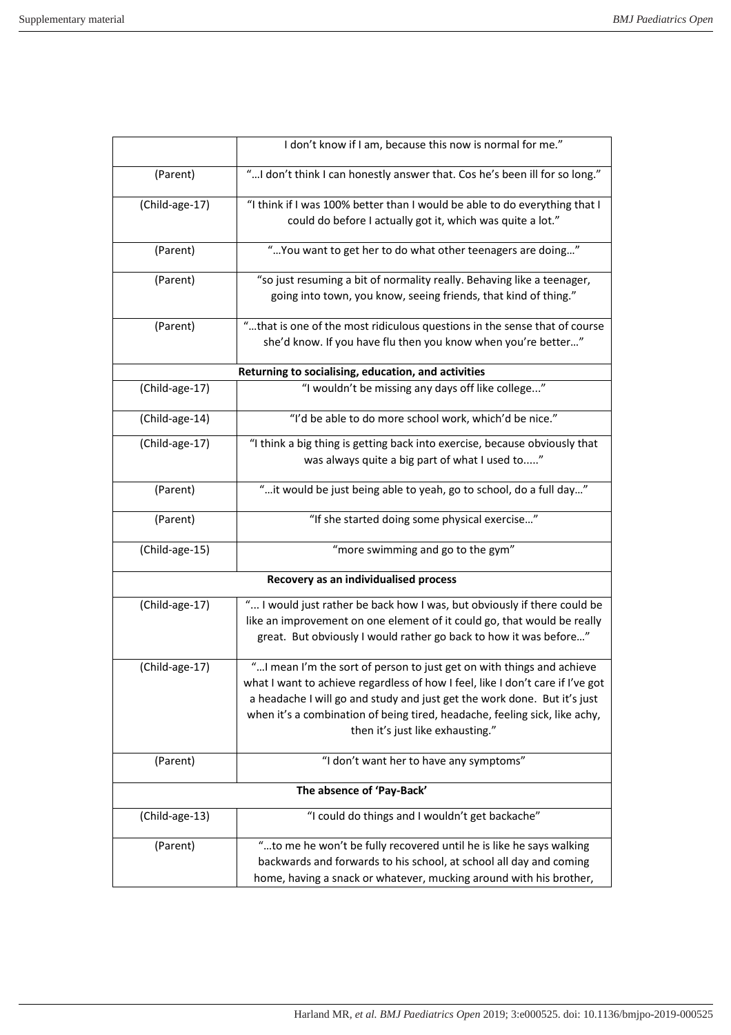|                                       | I don't know if I am, because this now is normal for me."                                                                                  |  |
|---------------------------------------|--------------------------------------------------------------------------------------------------------------------------------------------|--|
| (Parent)                              | " I don't think I can honestly answer that. Cos he's been ill for so long."                                                                |  |
| (Child-age-17)                        | "I think if I was 100% better than I would be able to do everything that I<br>could do before I actually got it, which was quite a lot."   |  |
| (Parent)                              | " You want to get her to do what other teenagers are doing"                                                                                |  |
| (Parent)                              | "so just resuming a bit of normality really. Behaving like a teenager,<br>going into town, you know, seeing friends, that kind of thing."  |  |
| (Parent)                              | "that is one of the most ridiculous questions in the sense that of course<br>she'd know. If you have flu then you know when you're better" |  |
|                                       | Returning to socialising, education, and activities                                                                                        |  |
| (Child-age-17)                        | "I wouldn't be missing any days off like college"                                                                                          |  |
| (Child-age-14)                        | "I'd be able to do more school work, which'd be nice."                                                                                     |  |
| (Child-age-17)                        | "I think a big thing is getting back into exercise, because obviously that                                                                 |  |
|                                       | was always quite a big part of what I used to"                                                                                             |  |
| (Parent)                              | "it would be just being able to yeah, go to school, do a full day"                                                                         |  |
| (Parent)                              | "If she started doing some physical exercise"                                                                                              |  |
| (Child-age-15)                        | "more swimming and go to the gym"                                                                                                          |  |
| Recovery as an individualised process |                                                                                                                                            |  |
| (Child-age-17)                        | " I would just rather be back how I was, but obviously if there could be                                                                   |  |
|                                       | like an improvement on one element of it could go, that would be really                                                                    |  |
|                                       | great. But obviously I would rather go back to how it was before"                                                                          |  |
| (Child-age-17)                        | " I mean I'm the sort of person to just get on with things and achieve                                                                     |  |
|                                       | what I want to achieve regardless of how I feel, like I don't care if I've got                                                             |  |
|                                       | a headache I will go and study and just get the work done. But it's just                                                                   |  |
|                                       | when it's a combination of being tired, headache, feeling sick, like achy,                                                                 |  |
|                                       | then it's just like exhausting."                                                                                                           |  |
| (Parent)                              | "I don't want her to have any symptoms"                                                                                                    |  |
| The absence of 'Pay-Back'             |                                                                                                                                            |  |
| (Child-age-13)                        | "I could do things and I wouldn't get backache"                                                                                            |  |
| (Parent)                              | "to me he won't be fully recovered until he is like he says walking                                                                        |  |
|                                       | backwards and forwards to his school, at school all day and coming                                                                         |  |
|                                       | home, having a snack or whatever, mucking around with his brother,                                                                         |  |